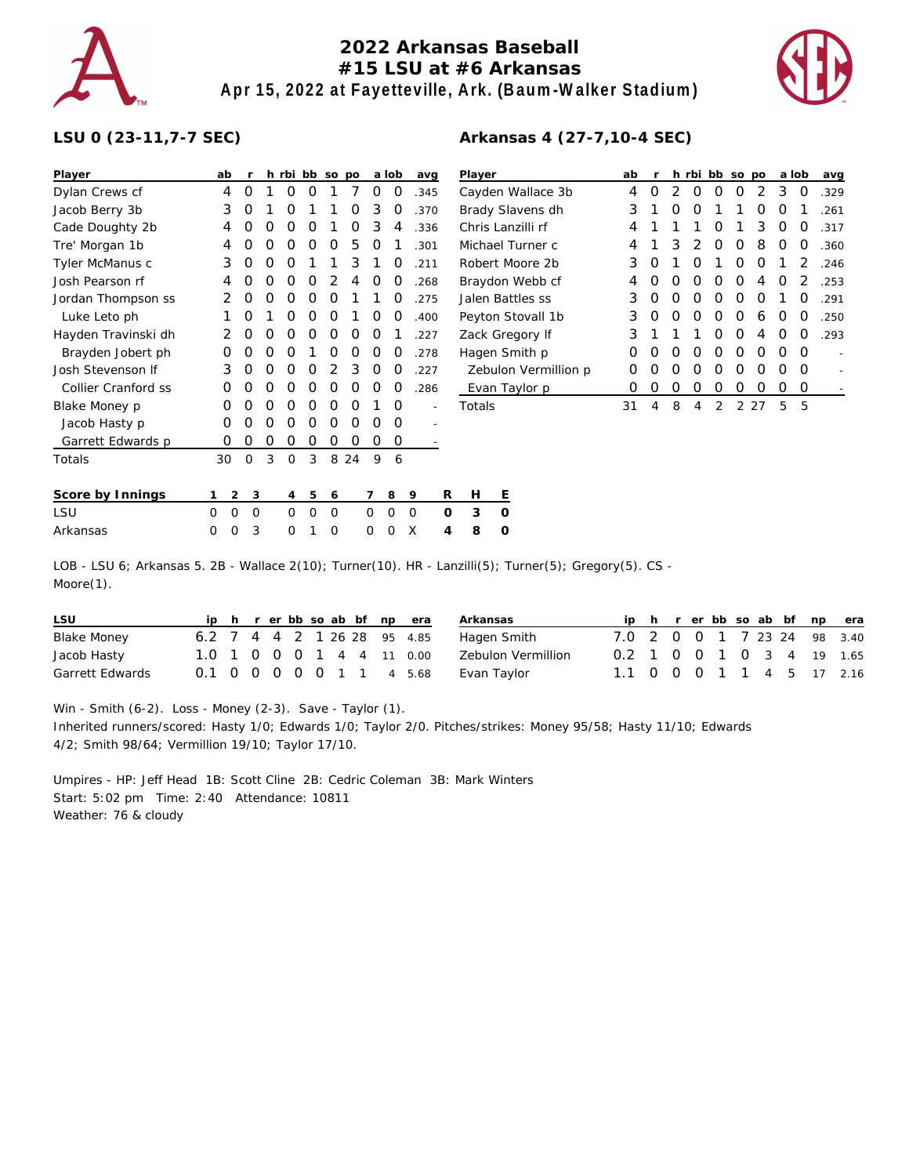

## **2022 Arkansas Baseball #15 LSU at #6 Arkansas Apr 15, 2022 at Fayetteville, Ark. (Baum-Walker Stadium)**



## **LSU 0 (23-11,7-7 SEC)**

| Player              |   | ab | r        |          | h rbi    | bb | <b>SO</b> | po |   | a lob | avg  |          | Player              |   |
|---------------------|---|----|----------|----------|----------|----|-----------|----|---|-------|------|----------|---------------------|---|
| Dylan Crews cf      |   | 4  | 0        | 1        | Ω        | O  | 1         | 7  | O | Ο     | .345 |          | Cayden <sup>'</sup> |   |
| Jacob Berry 3b      |   | 3  | O        | 1        | Ο        | 1  | 1         | Ο  | 3 | 0     | .370 |          | <b>Brady SI</b>     |   |
| Cade Doughty 2b     |   | 4  | O        | 0        | O        | O  | 1         | 0  | 3 | 4     | .336 |          | Chris Lar           |   |
| Tre' Morgan 1b      |   | 4  | O        | O        | Ω        | O  | 0         | 5  | 0 | 1     | .301 |          | Michael             |   |
| Tyler McManus c     |   | 3  | O        | $\Omega$ | O        | 1  | 1         | 3  | 1 | O     | .211 |          | Robert N            |   |
| Josh Pearson rf     |   | 4  | O        | O        | Ο        | O  | 2         | 4  | O | O     | .268 |          | Braydon             |   |
| Jordan Thompson ss  |   | 2  | 0        | 0        | Ο        | O  | 0         | 1  | 1 | 0     | .275 |          | Jalen Ba            |   |
| Luke Leto ph        |   | 1  | O        | 1        | Ο        | 0  | 0         | 1  | O | Ο     | .400 |          | Peyton S            |   |
| Hayden Travinski dh |   | 2  | O        | O        | Ο        | O  | O         | O  | 0 | 1     | .227 |          | Zack Gre            |   |
| Brayden Jobert ph   |   | Ω  | O        | 0        | O        | 1  | 0         | O  | O | O     | .278 |          | Hagen S             |   |
| Josh Stevenson If   |   | 3  | O        | O        | Ω        | Ο  | 2         | 3  | O | Ο     | .227 |          | Zebulo              |   |
| Collier Cranford ss |   | O  | O        | O        | Ο        | O  | O         | O  | O | O     | .286 |          | Evan T              |   |
| Blake Money p       |   | O  | 0        | 0        | Ο        | O  | 0         | O  | 1 | Ο     |      |          | Totals              |   |
| Jacob Hasty p       |   | O  | O        | O        | Ο        | O  | 0         | O  | O | Ο     |      |          |                     |   |
| Garrett Edwards p   |   | Ο  | O        | 0        | O        | 0  | O         | O  | 0 | Ο     |      |          |                     |   |
| Totals              |   | 30 | $\Omega$ | 3        | $\Omega$ | 3  | 8         | 24 | 9 | 6     |      |          |                     |   |
|                     |   |    |          |          |          |    |           |    |   |       |      |          |                     |   |
| Score by Innings    | 1 | 2  | 3        |          | 4        | 5  | 6         |    | 7 | 8     | 9    | R        | Н                   | Ε |
| LSU                 | 0 | 0  | 0        |          | O        | 0  | 0         |    | 0 | 0     | O    | $\Omega$ | 3                   | 0 |
| Arkansas            | 0 | 0  | 3        |          | 0        | 1  | 0         |    | 0 | 0     | X    | 4        | 8                   | 0 |

| Player               | ab               | r                |   | h rbi            | bb so            |   | <b>DO</b> |   | a lob | avg  |
|----------------------|------------------|------------------|---|------------------|------------------|---|-----------|---|-------|------|
| Cayden Wallace 3b    | 4                | $\left( \right)$ | 2 | $\left( \right)$ | $\left( \right)$ | Ω | 2         | 3 | 0     | .329 |
| Brady Slavens dh     | 3                | 1                | Ω | Ω                | 1                | 1 | Ω         | Ω | 1     | .261 |
| Chris Lanzilli rf    | 4                | 1                | 1 | 1                | Ω                | 1 | 3         | Ω | O     | .317 |
| Michael Turner c     | 4                | 1                | 3 | 2                | O                | O | 8         | Ω | O     | .360 |
| Robert Moore 2b      | 3                | O                | 1 | ∩                | 1                | Ω | Ω         | 1 | 2     | .246 |
| Braydon Webb cf      | 4                | റ                | Ω | Ω                | Ω                | Ω | 4         | Ω | 2     | .253 |
| Jalen Battles ss     | 3                | Ω                | Ω | Ω                | Ω                | Ω | Ω         | 1 | O     | .291 |
| Peyton Stovall 1b    | 3                | O                | ∩ | ∩                | Ω                | O | 6         | O | O     | .250 |
| Zack Gregory If      | 3                | 1                | 1 | 1                | Ω                | ∩ | 4         | ∩ | O     | .293 |
| Hagen Smith p        | Ω                | Ω                | Ω | Ω                | Ω                | Ω | Ω         | O | O     |      |
| Zebulon Vermillion p | $\left( \right)$ | റ                | O | Ω                | Ω                | O | Ω         | Ω | O     |      |
| Evan Taylor p        | Ω                | Ω                | Ω | Ω                | Ω                | Ω | Ω         | Ω | O     |      |
| Totals               | 31               | 4                | 8 | 4                | 2                | 2 | 27        | 5 | 5     |      |
|                      |                  |                  |   |                  |                  |   |           |   |       |      |

LOB - LSU 6; Arkansas 5. 2B - Wallace 2(10); Turner(10). HR - Lanzilli(5); Turner(5); Gregory(5). CS - Moore(1).

| LSU             |  |  |  |  | iph rerbbsoab bf npera      | Arkansas           |                             |  |  |  |  | ip h r er bb so ab bf np era |
|-----------------|--|--|--|--|-----------------------------|--------------------|-----------------------------|--|--|--|--|------------------------------|
| Blake Money     |  |  |  |  | 6.2 7 4 4 2 1 26 28 95 4.85 | Hagen Smith        | 7.0 2 0 0 1 7 23 24 98 3.40 |  |  |  |  |                              |
| Jacob Hasty     |  |  |  |  | 1.0 1 0 0 0 1 4 4 11 0.00   | Zebulon Vermillion | 0.2 1 0 0 1 0 3 4 19 1.65   |  |  |  |  |                              |
| Garrett Edwards |  |  |  |  | 0.1 0 0 0 0 0 1 1 4 5.68    | Evan Tavlor        | 1.1 0 0 0 1 1 4 5 17 2.16   |  |  |  |  |                              |

Win - Smith (6-2). Loss - Money (2-3). Save - Taylor (1). Inherited runners/scored: Hasty 1/0; Edwards 1/0; Taylor 2/0. Pitches/strikes: Money 95/58; Hasty 11/10; Edwards 4/2; Smith 98/64; Vermillion 19/10; Taylor 17/10.

Umpires - HP: Jeff Head 1B: Scott Cline 2B: Cedric Coleman 3B: Mark Winters Start: 5:02 pm Time: 2:40 Attendance: 10811 Weather: 76 & cloudy

## **Arkansas 4 (27-7,10-4 SEC)**